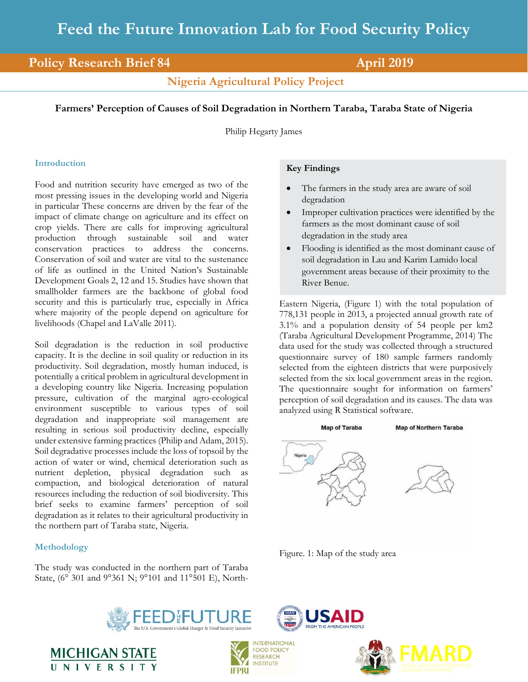# **Policy Research Brief 84 April 2019**

**Nigeria Agricultural Policy Project**

## **Farmers' Perception of Causes of Soil Degradation in Northern Taraba, Taraba State of Nigeria**

Philip Hegarty James

## **Introduction**

Food and nutrition security have emerged as two of the most pressing issues in the developing world and Nigeria in particular These concerns are driven by the fear of the impact of climate change on agriculture and its effect on crop yields. There are calls for improving agricultural production through sustainable soil and water conservation practices to address the concerns. Conservation of soil and water are vital to the sustenance of life as outlined in the United Nation's Sustainable Development Goals 2, 12 and 15. Studies have shown that smallholder farmers are the backbone of global food security and this is particularly true, especially in Africa where majority of the people depend on agriculture for livelihoods (Chapel and LaValle 2011).

Soil degradation is the reduction in soil productive capacity. It is the decline in soil quality or reduction in its productivity. Soil degradation, mostly human induced, is potentially a critical problem in agricultural development in a developing country like Nigeria. Increasing population pressure, cultivation of the marginal agro-ecological environment susceptible to various types of soil degradation and inappropriate soil management are resulting in serious soil productivity decline, especially under extensive farming practices (Philip and Adam, 2015). Soil degradative processes include the loss of topsoil by the action of water or wind, chemical deterioration such as nutrient depletion, physical degradation such as compaction, and biological deterioration of natural resources including the reduction of soil biodiversity. This brief seeks to examine farmers' perception of soil degradation as it relates to their agricultural productivity in the northern part of Taraba state, Nigeria.

## **Methodology**

The study was conducted in the northern part of Taraba State, (6° 301 and 9°361 N; 9°101 and 11°501 E), North-

## **Key Findings**

- The farmers in the study area are aware of soil degradation
- Improper cultivation practices were identified by the farmers as the most dominant cause of soil degradation in the study area
- Flooding is identified as the most dominant cause of soil degradation in Lau and Karim Lamido local government areas because of their proximity to the River Benue.

Eastern Nigeria, (Figure 1) with the total population of 778,131 people in 2013, a projected annual growth rate of 3.1% and a population density of 54 people per km2 (Taraba Agricultural Development Programme, 2014) The data used for the study was collected through a structured questionnaire survey of 180 sample farmers randomly selected from the eighteen districts that were purposively selected from the six local government areas in the region. The questionnaire sought for information on farmers' perception of soil degradation and its causes. The data was analyzed using R Statistical software.



Figure. 1: Map of the study area

SAID





**INSTITUTE** 

**IFPRI** 



**MICHIGAN STATE** UNIVERSIT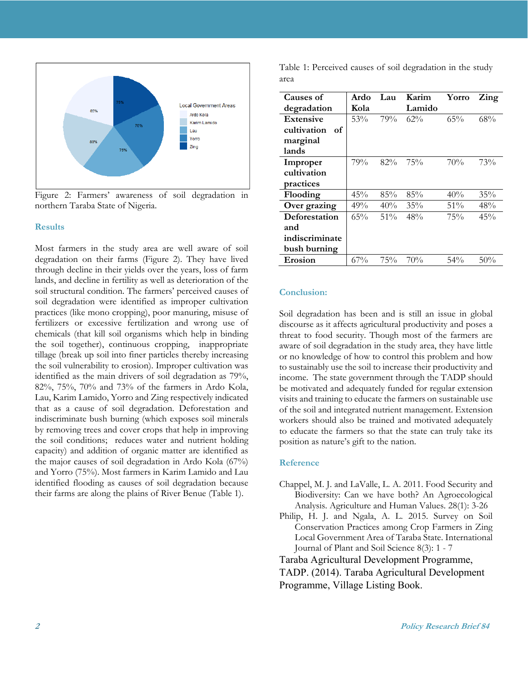

Figure 2: Farmers' awareness of soil degradation in northern Taraba State of Nigeria.

#### **Results**

Most farmers in the study area are well aware of soil degradation on their farms (Figure 2). They have lived through decline in their yields over the years, loss of farm lands, and decline in fertility as well as deterioration of the soil structural condition. The farmers' perceived causes of soil degradation were identified as improper cultivation practices (like mono cropping), poor manuring, misuse of fertilizers or excessive fertilization and wrong use of chemicals (that kill soil organisms which help in binding the soil together), continuous cropping, inappropriate tillage (break up soil into finer particles thereby increasing the soil vulnerability to erosion). Improper cultivation was identified as the main drivers of soil degradation as 79%, 82%, 75%, 70% and 73% of the farmers in Ardo Kola, Lau, Karim Lamido, Yorro and Zing respectively indicated that as a cause of soil degradation. Deforestation and indiscriminate bush burning (which exposes soil minerals by removing trees and cover crops that help in improving the soil conditions; reduces water and nutrient holding capacity) and addition of organic matter are identified as the major causes of soil degradation in Ardo Kola (67%) and Yorro (75%). Most farmers in Karim Lamido and Lau identified flooding as causes of soil degradation because their farms are along the plains of River Benue (Table 1).

Table 1: Perceived causes of soil degradation in the study area

| <b>Causes of</b>  | Ardo | Lau    | Karim  | Yorro  | Zing |
|-------------------|------|--------|--------|--------|------|
|                   |      |        |        |        |      |
| degradation       | Kola |        | Lamido |        |      |
| <b>Extensive</b>  | 53%  | 79%    | 62%    | 65%    | 68%  |
| cultivation<br>of |      |        |        |        |      |
| marginal          |      |        |        |        |      |
| lands             |      |        |        |        |      |
| Improper          | 79%  | 82%    | 75%    | 70%    | 73%  |
| cultivation       |      |        |        |        |      |
| practices         |      |        |        |        |      |
| Flooding          | 45%  | 85%    | 85%    | 40%    | 35%  |
| Over grazing      | 49%  | 40%    | 35%    | 51%    | 48%  |
| Deforestation     | 65%  | $51\%$ | 48%    | 75%    | 45%  |
| and               |      |        |        |        |      |
| indiscriminate    |      |        |        |        |      |
| bush burning      |      |        |        |        |      |
| Erosion           | 67%  | 75%    | 70%    | $54\%$ | 50%  |

#### **Conclusion:**

Soil degradation has been and is still an issue in global discourse as it affects agricultural productivity and poses a threat to food security. Though most of the farmers are aware of soil degradation in the study area, they have little or no knowledge of how to control this problem and how to sustainably use the soil to increase their productivity and income. The state government through the TADP should be motivated and adequately funded for regular extension visits and training to educate the farmers on sustainable use of the soil and integrated nutrient management. Extension workers should also be trained and motivated adequately to educate the farmers so that the state can truly take its position as nature's gift to the nation.

#### **Reference**

- Chappel, M. J. and LaValle, L. A. 2011. Food Security and Biodiversity: Can we have both? An Agroecological Analysis. Agriculture and Human Values. 28(1): 3-26
- Philip, H. J. and Ngala, A. L. 2015. Survey on Soil Conservation Practices among Crop Farmers in Zing Local Government Area of Taraba State. International Journal of Plant and Soil Science 8(3): 1 - 7

Taraba Agricultural Development Programme,

TADP. (2014). Taraba Agricultural Development Programme, Village Listing Book.